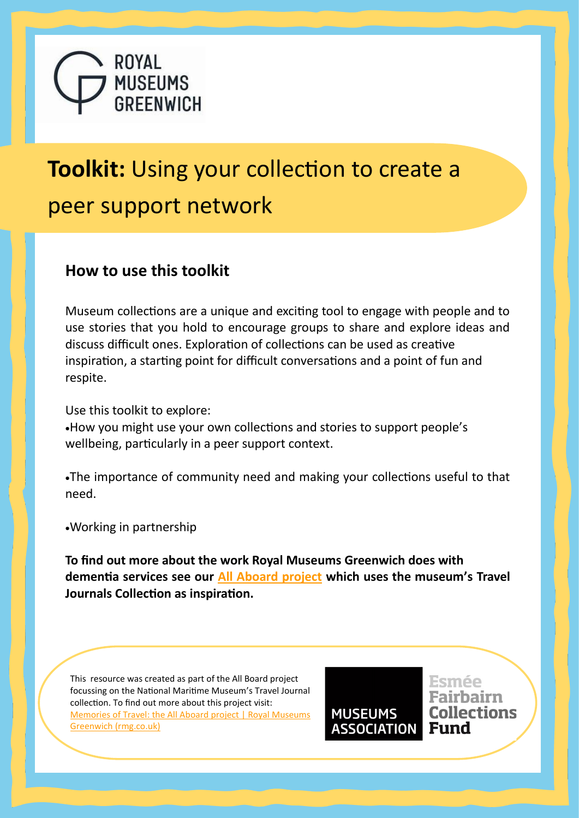

# **Toolkit:** Using your collection to create a peer support network

### **How to use this toolkit**

Museum collections are a unique and exciting tool to engage with people and to use stories that you hold to encourage groups to share and explore ideas and discuss difficult ones. Exploration of collections can be used as creative inspiration, a starting point for difficult conversations and a point of fun and respite.

Use this toolkit to explore:

•How you might use your own collections and stories to support people's wellbeing, particularly in a peer support context.

•The importance of community need and making your collections useful to that need.

•Working in partnership

**To find out more about the work Royal Museums Greenwich does with dementia services see our [All Aboard project](https://www.rmg.co.uk/all-aboard) which uses the museum's Travel Journals Collection as inspiration.**

This resource was created as part of the All Board project focussing on the National Maritime Museum's Travel Journal collection. To find out more about this project visit: [Memories of Travel: the All Aboard project | Royal Museums](https://www.rmg.co.uk/stories/blog/library-archive/memories-travel-all-aboard-project)  [Greenwich \(rmg.co.uk\)](https://www.rmg.co.uk/stories/blog/library-archive/memories-travel-all-aboard-project)

**MUSEUMS Collections ASSOCIATION Fund** 

Esmée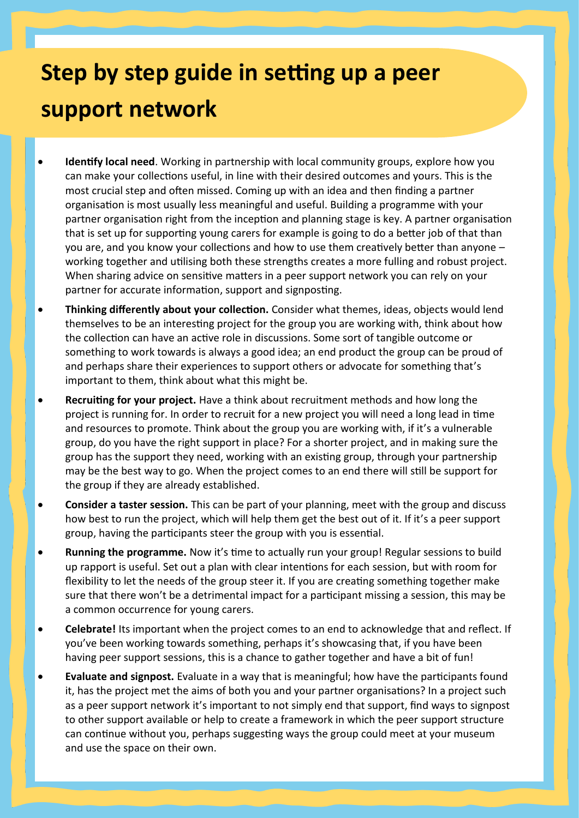## **Step by step guide in setting up a peer support network**

- **Identify local need**. Working in partnership with local community groups, explore how you can make your collections useful, in line with their desired outcomes and yours. This is the most crucial step and often missed. Coming up with an idea and then finding a partner organisation is most usually less meaningful and useful. Building a programme with your partner organisation right from the inception and planning stage is key. A partner organisation that is set up for supporting young carers for example is going to do a better job of that than you are, and you know your collections and how to use them creatively better than anyone – working together and utilising both these strengths creates a more fulling and robust project. When sharing advice on sensitive matters in a peer support network you can rely on your partner for accurate information, support and signposting.
- **Thinking differently about your collection.** Consider what themes, ideas, objects would lend themselves to be an interesting project for the group you are working with, think about how the collection can have an active role in discussions. Some sort of tangible outcome or something to work towards is always a good idea; an end product the group can be proud of and perhaps share their experiences to support others or advocate for something that's important to them, think about what this might be.
- **Recruiting for your project.** Have a think about recruitment methods and how long the project is running for. In order to recruit for a new project you will need a long lead in time and resources to promote. Think about the group you are working with, if it's a vulnerable group, do you have the right support in place? For a shorter project, and in making sure the group has the support they need, working with an existing group, through your partnership may be the best way to go. When the project comes to an end there will still be support for the group if they are already established.
- **Consider a taster session.** This can be part of your planning, meet with the group and discuss how best to run the project, which will help them get the best out of it. If it's a peer support group, having the participants steer the group with you is essential.
- **Running the programme.** Now it's time to actually run your group! Regular sessions to build up rapport is useful. Set out a plan with clear intentions for each session, but with room for flexibility to let the needs of the group steer it. If you are creating something together make sure that there won't be a detrimental impact for a participant missing a session, this may be a common occurrence for young carers.
- **Celebrate!** Its important when the project comes to an end to acknowledge that and reflect. If you've been working towards something, perhaps it's showcasing that, if you have been having peer support sessions, this is a chance to gather together and have a bit of fun!
- **Evaluate and signpost.** Evaluate in a way that is meaningful; how have the participants found it, has the project met the aims of both you and your partner organisations? In a project such as a peer support network it's important to not simply end that support, find ways to signpost to other support available or help to create a framework in which the peer support structure can continue without you, perhaps suggesting ways the group could meet at your museum and use the space on their own.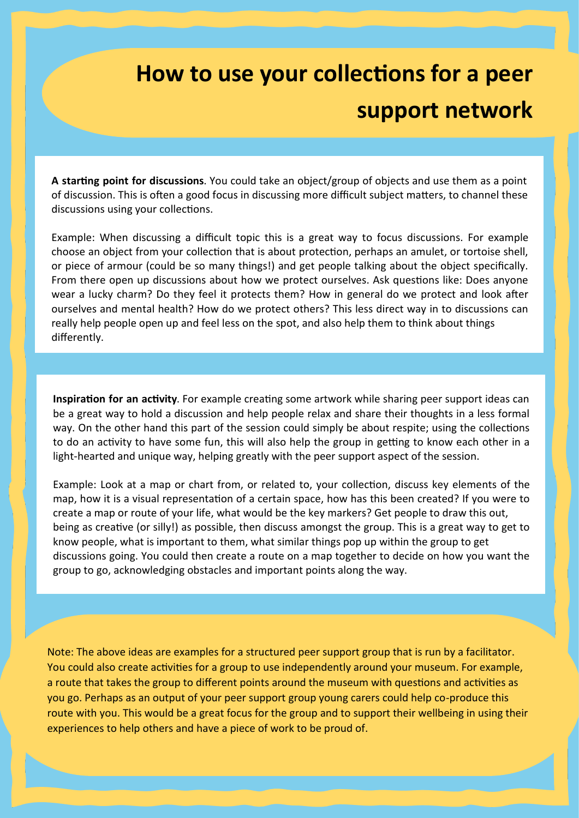## **How to use your collections for a peer support network**

**A starting point for discussions**. You could take an object/group of objects and use them as a point of discussion. This is often a good focus in discussing more difficult subject matters, to channel these discussions using your collections.

Example: When discussing a difficult topic this is a great way to focus discussions. For example choose an object from your collection that is about protection, perhaps an amulet, or tortoise shell, or piece of armour (could be so many things!) and get people talking about the object specifically. From there open up discussions about how we protect ourselves. Ask questions like: Does anyone wear a lucky charm? Do they feel it protects them? How in general do we protect and look after ourselves and mental health? How do we protect others? This less direct way in to discussions can really help people open up and feel less on the spot, and also help them to think about things differently.

**Inspiration for an activity**. For example creating some artwork while sharing peer support ideas can be a great way to hold a discussion and help people relax and share their thoughts in a less formal way. On the other hand this part of the session could simply be about respite; using the collections to do an activity to have some fun, this will also help the group in getting to know each other in a light-hearted and unique way, helping greatly with the peer support aspect of the session.

Example: Look at a map or chart from, or related to, your collection, discuss key elements of the map, how it is a visual representation of a certain space, how has this been created? If you were to create a map or route of your life, what would be the key markers? Get people to draw this out, being as creative (or silly!) as possible, then discuss amongst the group. This is a great way to get to know people, what is important to them, what similar things pop up within the group to get discussions going. You could then create a route on a map together to decide on how you want the group to go, acknowledging obstacles and important points along the way.

Note: The above ideas are examples for a structured peer support group that is run by a facilitator. You could also create activities for a group to use independently around your museum. For example, a route that takes the group to different points around the museum with questions and activities as you go. Perhaps as an output of your peer support group young carers could help co-produce this route with you. This would be a great focus for the group and to support their wellbeing in using their experiences to help others and have a piece of work to be proud of.